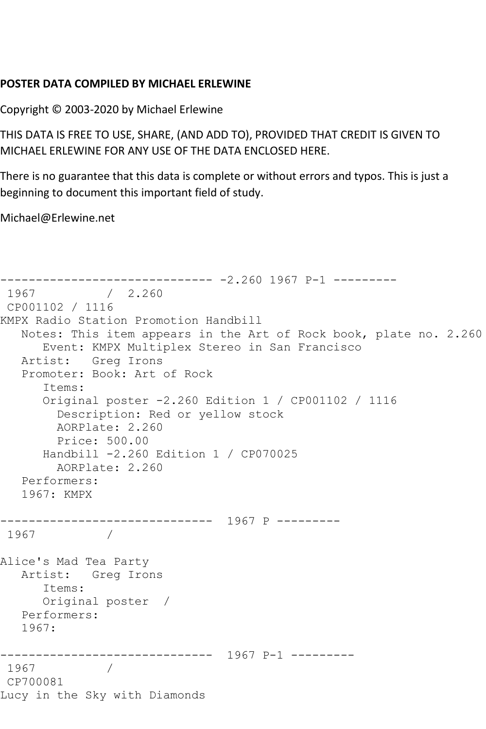## **POSTER DATA COMPILED BY MICHAEL ERLEWINE**

Copyright © 2003-2020 by Michael Erlewine

THIS DATA IS FREE TO USE, SHARE, (AND ADD TO), PROVIDED THAT CREDIT IS GIVEN TO MICHAEL ERLEWINE FOR ANY USE OF THE DATA ENCLOSED HERE.

There is no guarantee that this data is complete or without errors and typos. This is just a beginning to document this important field of study.

Michael@Erlewine.net

```
------------------------------ -2.260 1967 P-1 ---------
            / 2.260CP001102 / 1116
KMPX Radio Station Promotion Handbill
   Notes: This item appears in the Art of Rock book, plate no. 2.260
      Event: KMPX Multiplex Stereo in San Francisco
   Artist: Greg Irons
   Promoter: Book: Art of Rock
       Items:
       Original poster -2.260 Edition 1 / CP001102 / 1116
         Description: Red or yellow stock
        AORPlate: 2.260 
         Price: 500.00
      Handbill -2.260 Edition 1 / CP070025
        AORPlate: 2.260 
   Performers:
   1967: KMPX
------------------------------ 1967 P ---------
1967 / 
Alice's Mad Tea Party
   Artist: Greg Irons
      Items:
      Original poster / 
   Performers:
   1967:
------------------------------ 1967 P-1 ---------
1967
CP700081
Lucy in the Sky with Diamonds
```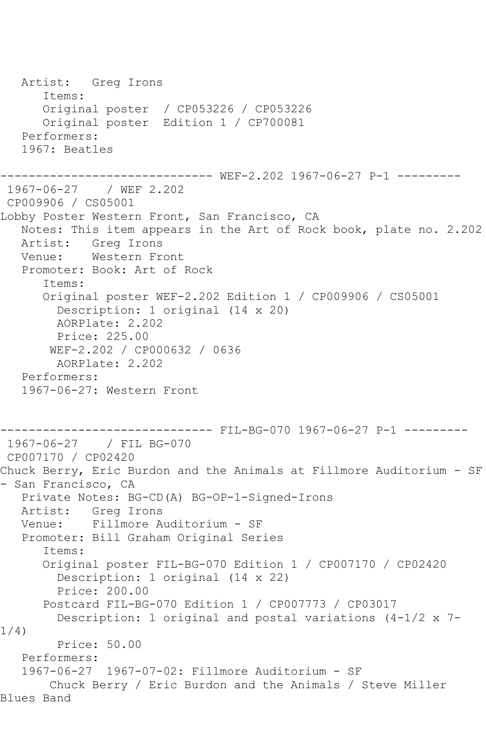```
 Artist: Greg Irons
       Items:
       Original poster / CP053226 / CP053226
       Original poster Edition 1 / CP700081
    Performers:
    1967: Beatles
------------------------------ WEF-2.202 1967-06-27 P-1 ---------
1967-06-27 / WEF 2.202
CP009906 / CS05001
Lobby Poster Western Front, San Francisco, CA
   Notes: This item appears in the Art of Rock book, plate no. 2.202
   Artist: Greg Irons
   Venue: Western Front
   Promoter: Book: Art of Rock
       Items:
       Original poster WEF-2.202 Edition 1 / CP009906 / CS05001
         Description: 1 original (14 x 20)
         AORPlate: 2.202 
         Price: 225.00
        WEF-2.202 / CP000632 / 0636
         AORPlate: 2.202 
   Performers:
    1967-06-27: Western Front
------------------------------ FIL-BG-070 1967-06-27 P-1 ---------
1967-06-27 / FIL BG-070
CP007170 / CP02420
Chuck Berry, Eric Burdon and the Animals at Fillmore Auditorium - SF 
- San Francisco, CA
    Private Notes: BG-CD(A) BG-OP-1-Signed-Irons
  Artist: Greg Irons<br>Venue: Fillmore A
            Fillmore Auditorium - SF
   Promoter: Bill Graham Original Series
       Items:
       Original poster FIL-BG-070 Edition 1 / CP007170 / CP02420
         Description: 1 original (14 x 22)
         Price: 200.00
       Postcard FIL-BG-070 Edition 1 / CP007773 / CP03017
         Description: 1 original and postal variations (4-1/2 x 7-
1/4)
         Price: 50.00
   Performers:
    1967-06-27 1967-07-02: Fillmore Auditorium - SF
        Chuck Berry / Eric Burdon and the Animals / Steve Miller 
Blues Band
```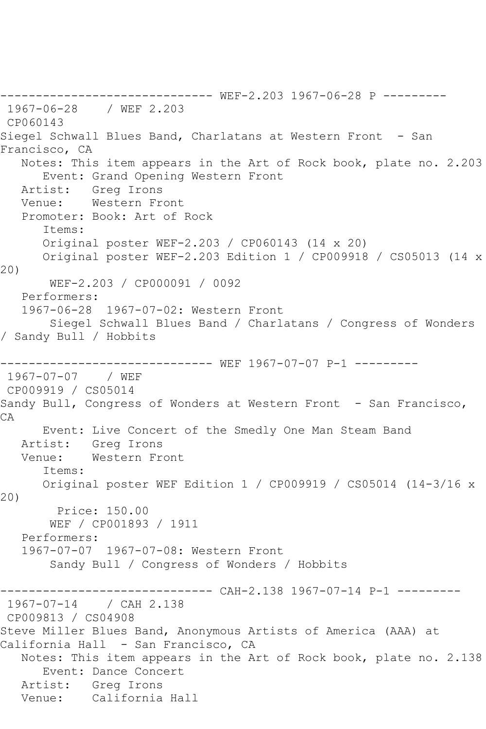------------------------------ WEF-2.203 1967-06-28 P --------- 1967-06-28 / WEF 2.203 CP060143 Siegel Schwall Blues Band, Charlatans at Western Front - San Francisco, CA Notes: This item appears in the Art of Rock book, plate no. 2.203 Event: Grand Opening Western Front Artist: Greg Irons<br>Venue: Western Fr Western Front Promoter: Book: Art of Rock Items: Original poster WEF-2.203 / CP060143 (14 x 20) Original poster WEF-2.203 Edition 1 / CP009918 / CS05013 (14 x 20) WEF-2.203 / CP000091 / 0092 Performers: 1967-06-28 1967-07-02: Western Front Siegel Schwall Blues Band / Charlatans / Congress of Wonders / Sandy Bull / Hobbits ------------------------------ WEF 1967-07-07 P-1 --------- 1967-07-07 / WEF CP009919 / CS05014 Sandy Bull, Congress of Wonders at Western Front - San Francisco, CA Event: Live Concert of the Smedly One Man Steam Band Artist: Greg Irons Venue: Western Front Items: Original poster WEF Edition 1 / CP009919 / CS05014 (14-3/16 x 20) Price: 150.00 WEF / CP001893 / 1911 Performers: 1967-07-07 1967-07-08: Western Front Sandy Bull / Congress of Wonders / Hobbits ------------------------------ CAH-2.138 1967-07-14 P-1 --------- 1967-07-14 / CAH 2.138 CP009813 / CS04908 Steve Miller Blues Band, Anonymous Artists of America (AAA) at California Hall - San Francisco, CA Notes: This item appears in the Art of Rock book, plate no. 2.138 Event: Dance Concert Artist: Greg Irons Venue: California Hall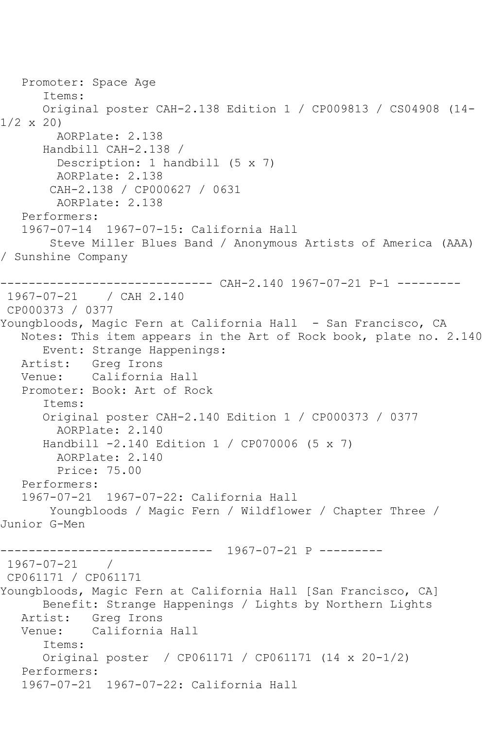```
 Promoter: Space Age
       Items:
       Original poster CAH-2.138 Edition 1 / CP009813 / CS04908 (14-
1/2 x 20)
         AORPlate: 2.138 
       Handbill CAH-2.138 / 
         Description: 1 handbill (5 x 7)
         AORPlate: 2.138 
        CAH-2.138 / CP000627 / 0631
         AORPlate: 2.138 
    Performers:
    1967-07-14 1967-07-15: California Hall
        Steve Miller Blues Band / Anonymous Artists of America (AAA) 
/ Sunshine Company
         ------------------------------ CAH-2.140 1967-07-21 P-1 ---------
1967-07-21 / CAH 2.140
CP000373 / 0377
Youngbloods, Magic Fern at California Hall - San Francisco, CA
   Notes: This item appears in the Art of Rock book, plate no. 2.140
  Event: Strange Happenings:<br>Artist: Greg Irons
           Greg Irons
   Venue: California Hall
    Promoter: Book: Art of Rock
       Items:
       Original poster CAH-2.140 Edition 1 / CP000373 / 0377
         AORPlate: 2.140 
       Handbill -2.140 Edition 1 / CP070006 (5 x 7)
         AORPlate: 2.140 
         Price: 75.00
    Performers:
    1967-07-21 1967-07-22: California Hall
        Youngbloods / Magic Fern / Wildflower / Chapter Three / 
Junior G-Men
         ------------------------------ 1967-07-21 P ---------
1967-07-21 / 
CP061171 / CP061171
Youngbloods, Magic Fern at California Hall [San Francisco, CA]
       Benefit: Strange Happenings / Lights by Northern Lights
   Artist: Greg Irons
   Venue: California Hall
       Items:
       Original poster / CP061171 / CP061171 (14 x 20-1/2)
    Performers:
    1967-07-21 1967-07-22: California Hall
```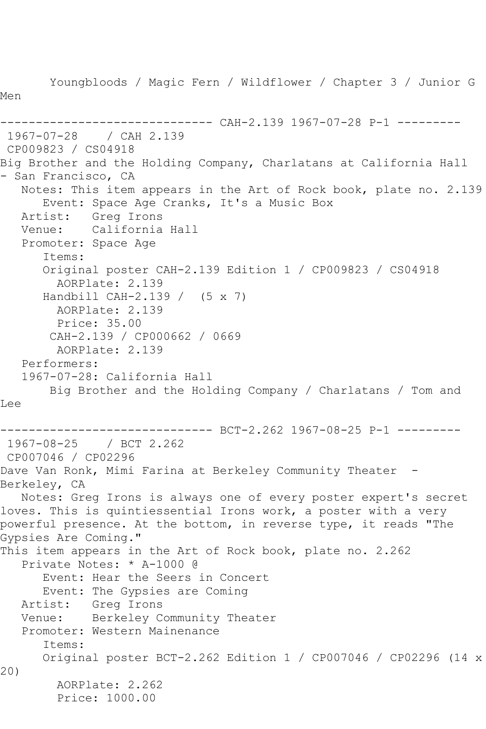Youngbloods / Magic Fern / Wildflower / Chapter 3 / Junior G Men ------------------------------ CAH-2.139 1967-07-28 P-1 --------- 1967-07-28 / CAH 2.139 CP009823 / CS04918 Big Brother and the Holding Company, Charlatans at California Hall - San Francisco, CA Notes: This item appears in the Art of Rock book, plate no. 2.139 Event: Space Age Cranks, It's a Music Box<br>Artist: Greg Irons Artist: Greg Irons<br>Venue: California California Hall Promoter: Space Age Items: Original poster CAH-2.139 Edition 1 / CP009823 / CS04918 AORPlate: 2.139 Handbill CAH-2.139 / (5 x 7) AORPlate: 2.139 Price: 35.00 CAH-2.139 / CP000662 / 0669 AORPlate: 2.139 Performers: 1967-07-28: California Hall Big Brother and the Holding Company / Charlatans / Tom and Lee ------------------------------ BCT-2.262 1967-08-25 P-1 --------- 1967-08-25 / BCT 2.262 CP007046 / CP02296 Dave Van Ronk, Mimi Farina at Berkeley Community Theater -Berkeley, CA Notes: Greg Irons is always one of every poster expert's secret loves. This is quintiessential Irons work, a poster with a very powerful presence. At the bottom, in reverse type, it reads "The Gypsies Are Coming." This item appears in the Art of Rock book, plate no. 2.262 Private Notes: \* A-1000 @ Event: Hear the Seers in Concert Event: The Gypsies are Coming Artist: Greg Irons Venue: Berkeley Community Theater Promoter: Western Mainenance Items: Original poster BCT-2.262 Edition 1 / CP007046 / CP02296 (14 x 20) AORPlate: 2.262 Price: 1000.00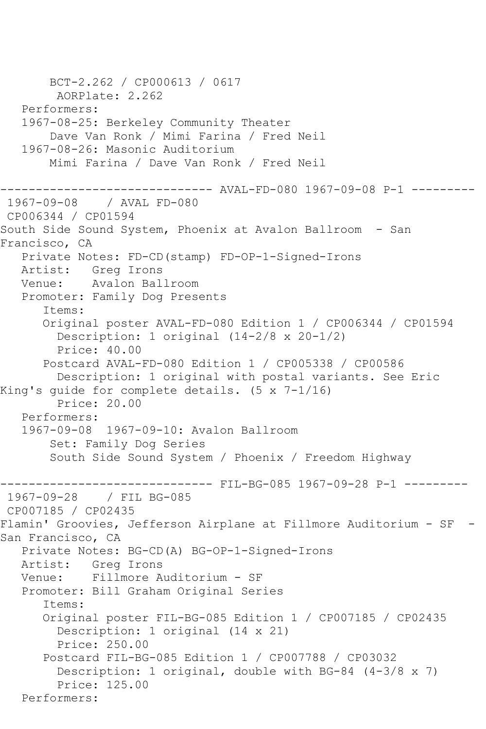BCT-2.262 / CP000613 / 0617 AORPlate: 2.262 Performers: 1967-08-25: Berkeley Community Theater Dave Van Ronk / Mimi Farina / Fred Neil 1967-08-26: Masonic Auditorium Mimi Farina / Dave Van Ronk / Fred Neil ------------------------------ AVAL-FD-080 1967-09-08 P-1 --------- 1967-09-08 / AVAL FD-080 CP006344 / CP01594 South Side Sound System, Phoenix at Avalon Ballroom - San Francisco, CA Private Notes: FD-CD(stamp) FD-OP-1-Signed-Irons Artist: Greg Irons Venue: Avalon Ballroom Promoter: Family Dog Presents Items: Original poster AVAL-FD-080 Edition 1 / CP006344 / CP01594 Description: 1 original (14-2/8 x 20-1/2) Price: 40.00 Postcard AVAL-FD-080 Edition 1 / CP005338 / CP00586 Description: 1 original with postal variants. See Eric King's guide for complete details. (5 x 7-1/16) Price: 20.00 Performers: 1967-09-08 1967-09-10: Avalon Ballroom Set: Family Dog Series South Side Sound System / Phoenix / Freedom Highway ------------------------------ FIL-BG-085 1967-09-28 P-1 --------- 1967-09-28 / FIL BG-085 CP007185 / CP02435 Flamin' Groovies, Jefferson Airplane at Fillmore Auditorium - SF - San Francisco, CA Private Notes: BG-CD(A) BG-OP-1-Signed-Irons Artist: Greg Irons Venue: Fillmore Auditorium - SF Promoter: Bill Graham Original Series Items: Original poster FIL-BG-085 Edition 1 / CP007185 / CP02435 Description: 1 original (14 x 21) Price: 250.00 Postcard FIL-BG-085 Edition 1 / CP007788 / CP03032 Description: 1 original, double with BG-84 (4-3/8 x 7) Price: 125.00 Performers: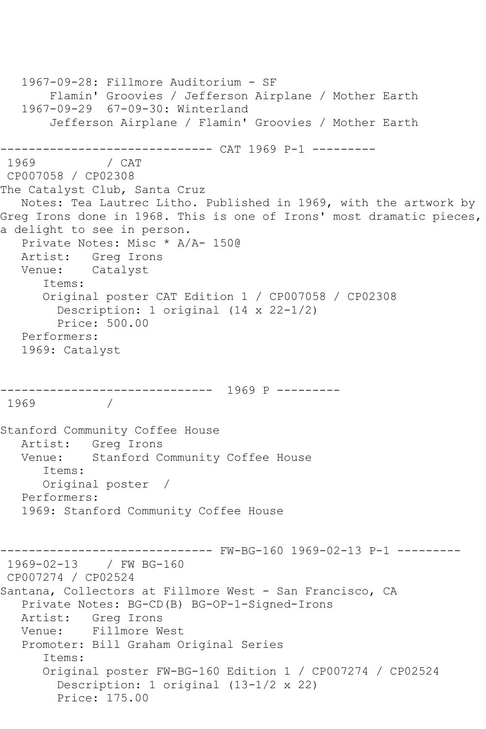```
 1967-09-28: Fillmore Auditorium - SF
        Flamin' Groovies / Jefferson Airplane / Mother Earth
   1967-09-29 67-09-30: Winterland
        Jefferson Airplane / Flamin' Groovies / Mother Earth
------------------------------ CAT 1969 P-1 ---------
              / CAT
CP007058 / CP02308
The Catalyst Club, Santa Cruz
   Notes: Tea Lautrec Litho. Published in 1969, with the artwork by 
Greg Irons done in 1968. This is one of Irons' most dramatic pieces,
a delight to see in person.
   Private Notes: Misc * A/A- 150@
   Artist: Greg Irons
   Venue: Catalyst
       Items:
       Original poster CAT Edition 1 / CP007058 / CP02308
         Description: 1 original (14 x 22-1/2)
         Price: 500.00
   Performers:
   1969: Catalyst
------------------------------ 1969 P ---------
1969 / 
Stanford Community Coffee House
   Artist: Greg Irons
   Venue: Stanford Community Coffee House
       Items:
      Original poster / 
   Performers:
   1969: Stanford Community Coffee House
------------------------------ FW-BG-160 1969-02-13 P-1 ---------
1969-02-13 / FW BG-160
CP007274 / CP02524
Santana, Collectors at Fillmore West - San Francisco, CA
   Private Notes: BG-CD(B) BG-OP-1-Signed-Irons
  Artist: Greg Irons<br>Venue: Fillmore W
           Fillmore West
   Promoter: Bill Graham Original Series
       Items:
       Original poster FW-BG-160 Edition 1 / CP007274 / CP02524
         Description: 1 original (13-1/2 x 22)
         Price: 175.00
```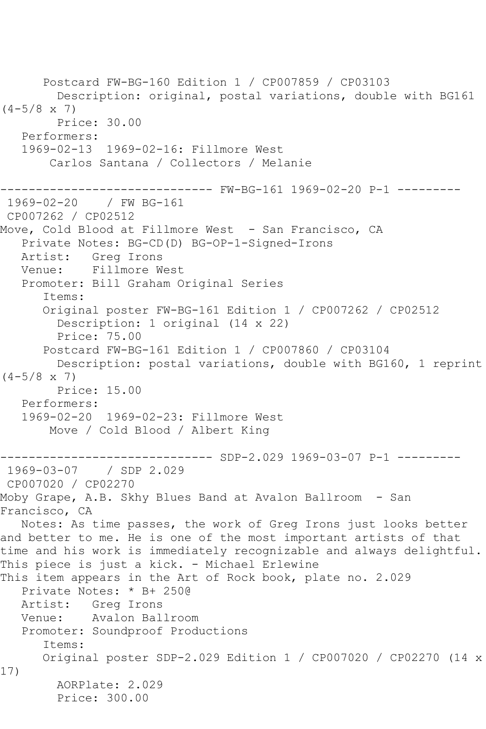Postcard FW-BG-160 Edition 1 / CP007859 / CP03103 Description: original, postal variations, double with BG161  $(4-5/8 \times 7)$  Price: 30.00 Performers: 1969-02-13 1969-02-16: Fillmore West Carlos Santana / Collectors / Melanie ------- FW-BG-161 1969-02-20 P-1 ---------1969-02-20 / FW BG-161 CP007262 / CP02512 Move, Cold Blood at Fillmore West - San Francisco, CA Private Notes: BG-CD(D) BG-OP-1-Signed-Irons Artist: Greg Irons Venue: Fillmore West Promoter: Bill Graham Original Series Items: Original poster FW-BG-161 Edition 1 / CP007262 / CP02512 Description: 1 original (14 x 22) Price: 75.00 Postcard FW-BG-161 Edition 1 / CP007860 / CP03104 Description: postal variations, double with BG160, 1 reprint  $(4-5/8 \times 7)$  Price: 15.00 Performers: 1969-02-20 1969-02-23: Fillmore West Move / Cold Blood / Albert King ------------------------------ SDP-2.029 1969-03-07 P-1 --------- 1969-03-07 / SDP 2.029 CP007020 / CP02270 Moby Grape, A.B. Skhy Blues Band at Avalon Ballroom - San Francisco, CA Notes: As time passes, the work of Greg Irons just looks better and better to me. He is one of the most important artists of that time and his work is immediately recognizable and always delightful. This piece is just a kick. - Michael Erlewine This item appears in the Art of Rock book, plate no. 2.029 Private Notes: \* B+ 250@ Artist: Greg Irons Venue: Avalon Ballroom Promoter: Soundproof Productions Items: Original poster SDP-2.029 Edition 1 / CP007020 / CP02270 (14 x 17) AORPlate: 2.029 Price: 300.00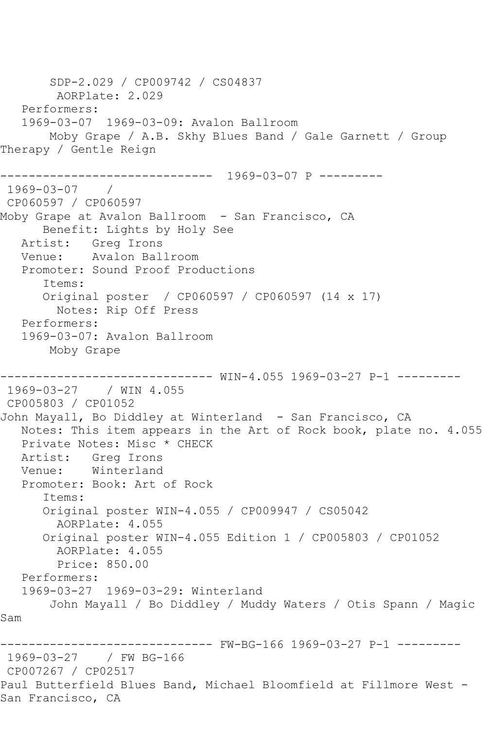SDP-2.029 / CP009742 / CS04837 AORPlate: 2.029 Performers: 1969-03-07 1969-03-09: Avalon Ballroom Moby Grape / A.B. Skhy Blues Band / Gale Garnett / Group Therapy / Gentle Reign ------------------------------ 1969-03-07 P --------- 1969-03-07 / CP060597 / CP060597 Moby Grape at Avalon Ballroom - San Francisco, CA Benefit: Lights by Holy See Artist: Greg Irons Venue: Avalon Ballroom Promoter: Sound Proof Productions Items: Original poster / CP060597 / CP060597 (14 x 17) Notes: Rip Off Press Performers: 1969-03-07: Avalon Ballroom Moby Grape ------------------------------ WIN-4.055 1969-03-27 P-1 --------- 1969-03-27 / WIN 4.055 CP005803 / CP01052 John Mayall, Bo Diddley at Winterland - San Francisco, CA Notes: This item appears in the Art of Rock book, plate no. 4.055 Private Notes: Misc \* CHECK Artist: Greg Irons Venue: Winterland Promoter: Book: Art of Rock Items: Original poster WIN-4.055 / CP009947 / CS05042 AORPlate: 4.055 Original poster WIN-4.055 Edition 1 / CP005803 / CP01052 AORPlate: 4.055 Price: 850.00 Performers: 1969-03-27 1969-03-29: Winterland John Mayall / Bo Diddley / Muddy Waters / Otis Spann / Magic Sam ------------------------------ FW-BG-166 1969-03-27 P-1 --------- 1969-03-27 / FW BG-166 CP007267 / CP02517 Paul Butterfield Blues Band, Michael Bloomfield at Fillmore West - San Francisco, CA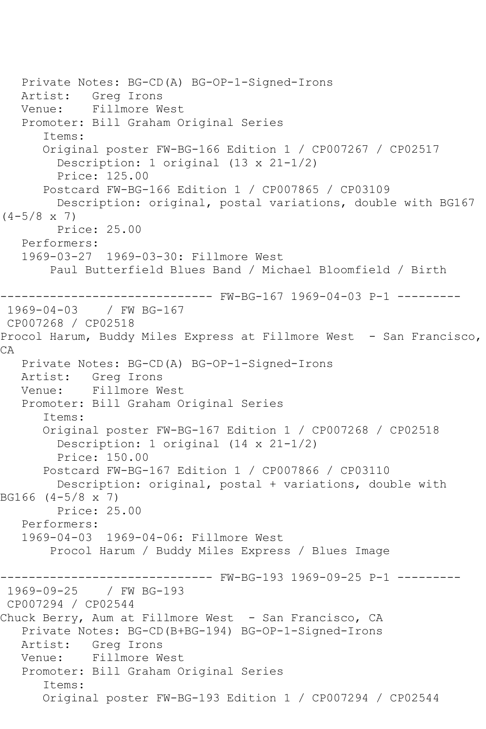Private Notes: BG-CD(A) BG-OP-1-Signed-Irons Artist: Greg Irons Venue: Fillmore West Promoter: Bill Graham Original Series Items: Original poster FW-BG-166 Edition 1 / CP007267 / CP02517 Description: 1 original (13 x 21-1/2) Price: 125.00 Postcard FW-BG-166 Edition 1 / CP007865 / CP03109 Description: original, postal variations, double with BG167  $(4-5/8 \times 7)$  Price: 25.00 Performers: 1969-03-27 1969-03-30: Fillmore West Paul Butterfield Blues Band / Michael Bloomfield / Birth ------------------------------ FW-BG-167 1969-04-03 P-1 --------- 1969-04-03 / FW BG-167 CP007268 / CP02518 Procol Harum, Buddy Miles Express at Fillmore West - San Francisco, CA Private Notes: BG-CD(A) BG-OP-1-Signed-Irons Artist: Greg Irons Venue: Fillmore West Promoter: Bill Graham Original Series Items: Original poster FW-BG-167 Edition 1 / CP007268 / CP02518 Description: 1 original (14 x 21-1/2) Price: 150.00 Postcard FW-BG-167 Edition 1 / CP007866 / CP03110 Description: original, postal + variations, double with BG166 (4-5/8 x 7) Price: 25.00 Performers: 1969-04-03 1969-04-06: Fillmore West Procol Harum / Buddy Miles Express / Blues Image ------------------------------ FW-BG-193 1969-09-25 P-1 --------- 1969-09-25 / FW BG-193 CP007294 / CP02544 Chuck Berry, Aum at Fillmore West - San Francisco, CA Private Notes: BG-CD(B+BG-194) BG-OP-1-Signed-Irons Artist: Greg Irons Venue: Fillmore West Promoter: Bill Graham Original Series Items: Original poster FW-BG-193 Edition 1 / CP007294 / CP02544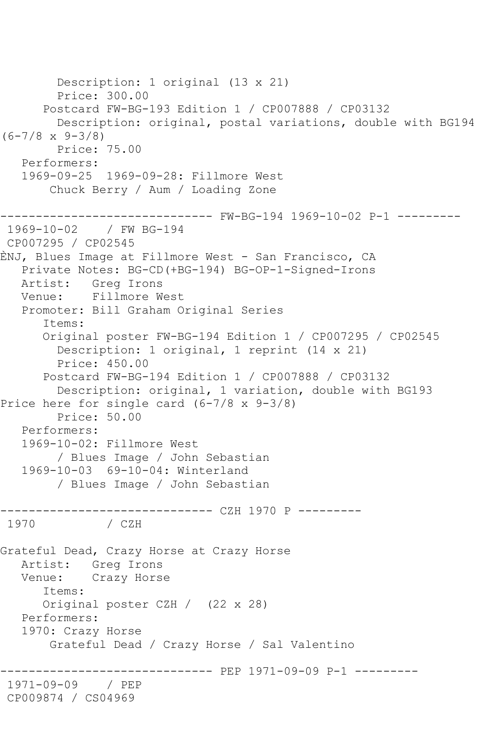```
 Description: 1 original (13 x 21)
         Price: 300.00
       Postcard FW-BG-193 Edition 1 / CP007888 / CP03132
         Description: original, postal variations, double with BG194 
(6-7/8 x 9-3/8)
         Price: 75.00
    Performers:
    1969-09-25 1969-09-28: Fillmore West
        Chuck Berry / Aum / Loading Zone
------------------------------ FW-BG-194 1969-10-02 P-1 ---------
1969-10-02 / FW BG-194
CP007295 / CP02545
ÈNJ, Blues Image at Fillmore West - San Francisco, CA
    Private Notes: BG-CD(+BG-194) BG-OP-1-Signed-Irons
   Artist: Greg Irons
   Venue: Fillmore West
   Promoter: Bill Graham Original Series
       Items:
       Original poster FW-BG-194 Edition 1 / CP007295 / CP02545
         Description: 1 original, 1 reprint (14 x 21)
         Price: 450.00
       Postcard FW-BG-194 Edition 1 / CP007888 / CP03132
         Description: original, 1 variation, double with BG193
Price here for single card (6-7/8 x 9-3/8)
         Price: 50.00
    Performers:
    1969-10-02: Fillmore West
         / Blues Image / John Sebastian
    1969-10-03 69-10-04: Winterland
         / Blues Image / John Sebastian
------------------------------ CZH 1970 P ---------
              / CZH
Grateful Dead, Crazy Horse at Crazy Horse
   Artist: Greg Irons
   Venue: Crazy Horse
       Items:
       Original poster CZH / (22 x 28)
    Performers:
    1970: Crazy Horse
        Grateful Dead / Crazy Horse / Sal Valentino
                     ------------------------------ PEP 1971-09-09 P-1 ---------
1971-09-09 / PEP 
CP009874 / CS04969
```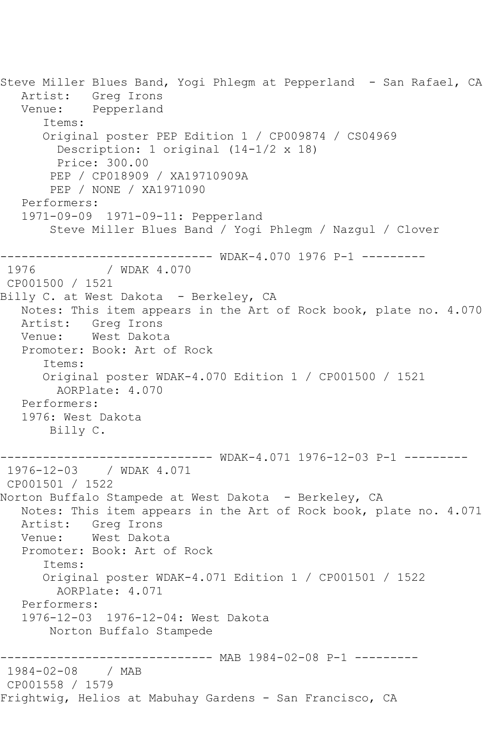Steve Miller Blues Band, Yogi Phlegm at Pepperland - San Rafael, CA Artist: Greg Irons Venue: Pepperland Items: Original poster PEP Edition 1 / CP009874 / CS04969 Description: 1 original (14-1/2 x 18) Price: 300.00 PEP / CP018909 / XA19710909A PEP / NONE / XA1971090 Performers: 1971-09-09 1971-09-11: Pepperland Steve Miller Blues Band / Yogi Phlegm / Nazgul / Clover ------------------------------ WDAK-4.070 1976 P-1 --------- / WDAK 4.070 CP001500 / 1521 Billy C. at West Dakota - Berkeley, CA Notes: This item appears in the Art of Rock book, plate no. 4.070 Artist: Greg Irons Venue: West Dakota Promoter: Book: Art of Rock Items: Original poster WDAK-4.070 Edition 1 / CP001500 / 1521 AORPlate: 4.070 Performers: 1976: West Dakota Billy C. ------------- WDAK-4.071 1976-12-03 P-1 ---------1976-12-03 / WDAK 4.071 CP001501 / 1522 Norton Buffalo Stampede at West Dakota - Berkeley, CA Notes: This item appears in the Art of Rock book, plate no. 4.071 Artist: Greg Irons Venue: West Dakota Promoter: Book: Art of Rock Items: Original poster WDAK-4.071 Edition 1 / CP001501 / 1522 AORPlate: 4.071 Performers: 1976-12-03 1976-12-04: West Dakota Norton Buffalo Stampede ------------------------------ MAB 1984-02-08 P-1 --------- 1984-02-08 / MAB CP001558 / 1579 Frightwig, Helios at Mabuhay Gardens - San Francisco, CA